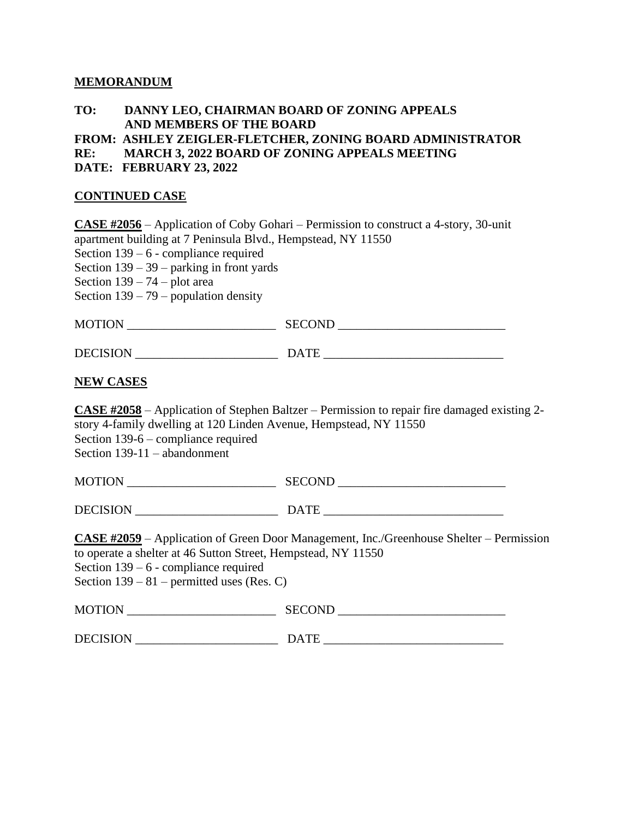### **MEMORANDUM**

## **TO: DANNY LEO, CHAIRMAN BOARD OF ZONING APPEALS AND MEMBERS OF THE BOARD**

**FROM: ASHLEY ZEIGLER-FLETCHER, ZONING BOARD ADMINISTRATOR** 

**RE: MARCH 3, 2022 BOARD OF ZONING APPEALS MEETING** 

**DATE: FEBRUARY 23, 2022**

## **CONTINUED CASE**

**CASE #2056** – Application of Coby Gohari – Permission to construct a 4-story, 30-unit apartment building at 7 Peninsula Blvd., Hempstead, NY 11550 Section 139 – 6 - compliance required Section 139 – 39 – parking in front yards Section 139 – 74 – plot area Section  $139 - 79$  – population density MOTION \_\_\_\_\_\_\_\_\_\_\_\_\_\_\_\_\_\_\_\_\_\_\_\_ SECOND \_\_\_\_\_\_\_\_\_\_\_\_\_\_\_\_\_\_\_\_\_\_\_\_\_\_\_ DECISION \_\_\_\_\_\_\_\_\_\_\_\_\_\_\_\_\_\_\_\_\_\_\_ DATE \_\_\_\_\_\_\_\_\_\_\_\_\_\_\_\_\_\_\_\_\_\_\_\_\_\_\_\_\_

#### **NEW CASES**

**CASE #2058** – Application of Stephen Baltzer – Permission to repair fire damaged existing 2 story 4-family dwelling at 120 Linden Avenue, Hempstead, NY 11550 Section 139-6 – compliance required Section 139-11 – abandonment

| <b>MOTION</b> | <b>SECOND</b> |
|---------------|---------------|
|               |               |

DECISION DATE

**CASE #2059** – Application of Green Door Management, Inc./Greenhouse Shelter – Permission to operate a shelter at 46 Sutton Street, Hempstead, NY 11550 Section 139 – 6 - compliance required Section  $139 - 81$  – permitted uses (Res. C)

| <b>MOTION</b> | SECOND<br>. |
|---------------|-------------|
|               |             |

DECISION \_\_\_\_\_\_\_\_\_\_\_\_\_\_\_\_\_\_\_\_\_\_\_ DATE \_\_\_\_\_\_\_\_\_\_\_\_\_\_\_\_\_\_\_\_\_\_\_\_\_\_\_\_\_